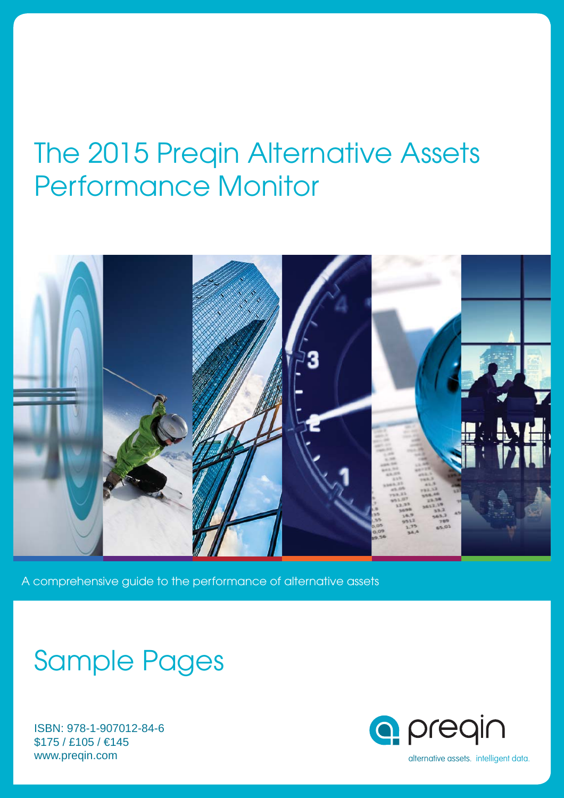## The 2015 Preqin Alternative Assets Performance Monitor



A comprehensive guide to the performance of alternative assets

## Sample Pages

ISBN: 978-1-907012-84-6 \$175 / £105 / €145 www.preqin.com

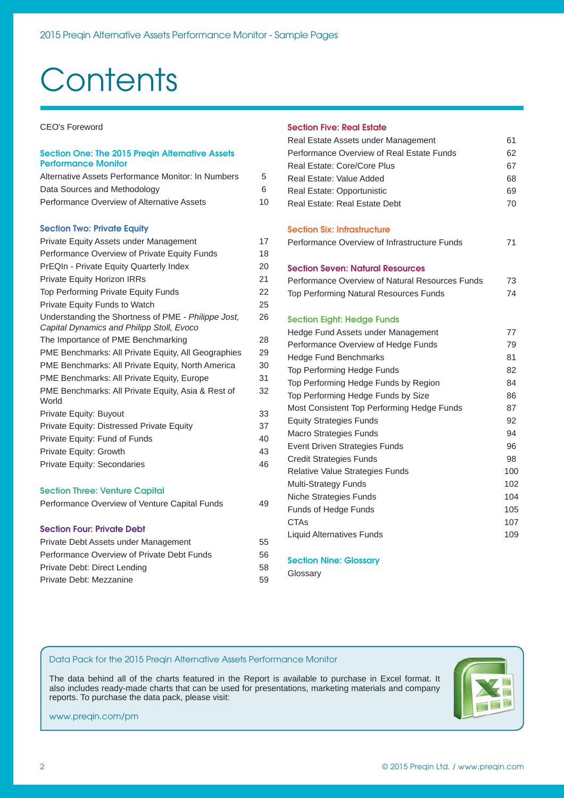# **Contents**

CEO's Foreword

#### **Section One: The 2015 Preqin Alternative Assets Performance Monitor**

| Alternative Assets Performance Monitor: In Numbers                                               | 5  |
|--------------------------------------------------------------------------------------------------|----|
| Data Sources and Methodology                                                                     | 6  |
| Performance Overview of Alternative Assets                                                       | 10 |
| <b>Section Two: Private Equity</b>                                                               |    |
| Private Equity Assets under Management                                                           | 17 |
| Performance Overview of Private Equity Funds                                                     | 18 |
| PrEQIn - Private Equity Quarterly Index                                                          | 20 |
| <b>Private Equity Horizon IRRs</b>                                                               | 21 |
| Top Performing Private Equity Funds                                                              | 22 |
| <b>Private Equity Funds to Watch</b>                                                             | 25 |
| Understanding the Shortness of PME - Philippe Jost,<br>Capital Dynamics and Philipp Stoll, Evoco | 26 |
| The Importance of PME Benchmarking                                                               | 28 |
| PME Benchmarks: All Private Equity, All Geographies                                              | 29 |
| PME Benchmarks: All Private Equity, North America                                                | 30 |
| PME Benchmarks: All Private Equity, Europe                                                       | 31 |
| PME Benchmarks: All Private Equity, Asia & Rest of<br>World                                      | 32 |
| Private Equity: Buyout                                                                           | 33 |
| Private Equity: Distressed Private Equity                                                        | 37 |
| Private Equity: Fund of Funds                                                                    | 40 |
| Private Equity: Growth                                                                           | 43 |
| <b>Private Equity: Secondaries</b>                                                               | 46 |
| <b>Section Three: Venture Capital</b>                                                            |    |
| Performance Overview of Venture Capital Funds                                                    | 49 |

#### **Section Four: Private Debt**

| Private Debt Assets under Management       | 55 |
|--------------------------------------------|----|
| Performance Overview of Private Debt Funds | 56 |
| Private Debt: Direct Lending               | 58 |
| Private Debt: Mezzanine                    | 59 |

#### **Section Five: Real Estate**

| Real Estate Assets under Management             | 61  |
|-------------------------------------------------|-----|
| Performance Overview of Real Estate Funds       | 62  |
| Real Estate: Core/Core Plus                     | 67  |
| Real Estate: Value Added                        | 68  |
| Real Estate: Opportunistic                      | 69  |
| Real Estate: Real Estate Debt                   | 70  |
| <b>Section Six: Infrastructure</b>              |     |
| Performance Overview of Infrastructure Funds    | 71  |
| <b>Section Seven: Natural Resources</b>         |     |
| Performance Overview of Natural Resources Funds | 73  |
| <b>Top Performing Natural Resources Funds</b>   | 74  |
| <b>Section Eight: Hedge Funds</b>               |     |
| Hedge Fund Assets under Management              | 77  |
| Performance Overview of Hedge Funds             | 79  |
| <b>Hedge Fund Benchmarks</b>                    | 81  |
| Top Performing Hedge Funds                      | 82  |
| Top Performing Hedge Funds by Region            | 84  |
| Top Performing Hedge Funds by Size              | 86  |
| Most Consistent Top Performing Hedge Funds      | 87  |
| <b>Equity Strategies Funds</b>                  | 92  |
| Macro Strategies Funds                          | 94  |
| Event Driven Strategies Funds                   | 96  |
| <b>Credit Strategies Funds</b>                  | 98  |
| <b>Relative Value Strategies Funds</b>          | 100 |
| <b>Multi-Strategy Funds</b>                     | 102 |
| Niche Strategies Funds                          | 104 |
| Funds of Hedge Funds                            | 105 |
| <b>CTAs</b>                                     | 107 |
| <b>Liquid Alternatives Funds</b>                | 109 |
|                                                 |     |

#### **Section Nine: Glossary**

Glossary

#### Data Pack for the 2015 Preqin Alternative Assets Performance Monitor

The data behind all of the charts featured in the Report is available to purchase in Excel format. It also includes ready-made charts that can be used for presentations, marketing materials and company reports. To purchase the data pack, please visit:



www.preqin.com/pm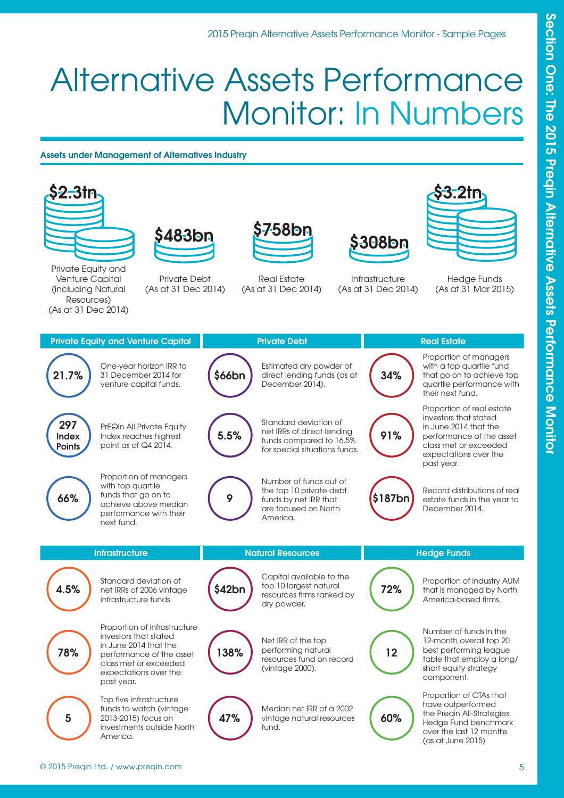## Alternative Assets Performance Monitor: In Numbers

### **Assets under Management of Alternatives Industry**

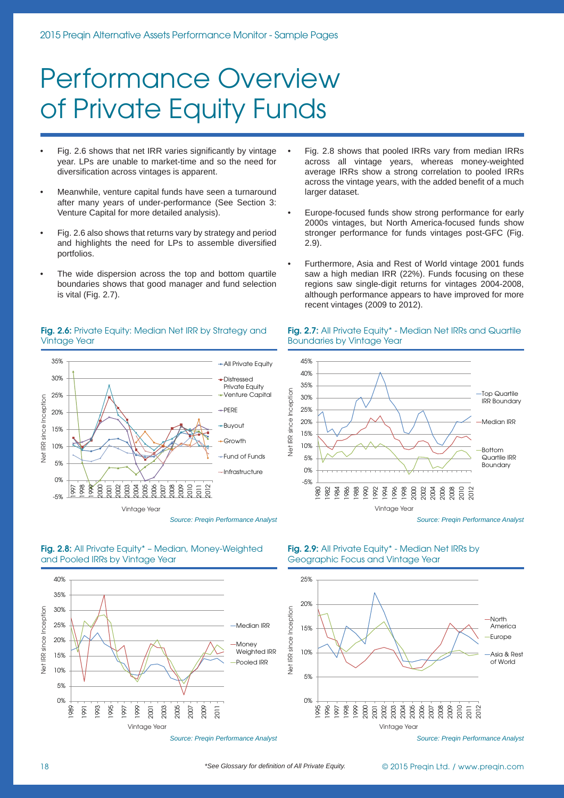## Performance Overview of Private Equity Funds

- Fig. 2.6 shows that net IRR varies significantly by vintage year. LPs are unable to market-time and so the need for diversification across vintages is apparent.
- Meanwhile, venture capital funds have seen a turnaround after many years of under-performance (See Section 3: Venture Capital for more detailed analysis).
- Fig. 2.6 also shows that returns vary by strategy and period and highlights the need for LPs to assemble diversified portfolios.
- The wide dispersion across the top and bottom quartile boundaries shows that good manager and fund selection is vital (Fig. 2.7).

#### **Fig. 2.6:** Private Equity: Median Net IRR by Strategy and Vintage Year



*Source: Preqin Performance Analyst*

**Fig. 2.8:** All Private Equity\* – Median, Money-Weighted and Pooled IRRs by Vintage Year



#### • Fig. 2.8 shows that pooled IRRs vary from median IRRs across all vintage years, whereas money-weighted average IRRs show a strong correlation to pooled IRRs across the vintage years, with the added benefit of a much larger dataset.

- Europe-focused funds show strong performance for early 2000s vintages, but North America-focused funds show stronger performance for funds vintages post-GFC (Fig. 2.9).
- Furthermore, Asia and Rest of World vintage 2001 funds saw a high median IRR (22%). Funds focusing on these regions saw single-digit returns for vintages 2004-2008, although performance appears to have improved for more recent vintages (2009 to 2012).

#### **Fig. 2.7:** All Private Equity\* - Median Net IRRs and Quartile Boundaries by Vintage Year



*Source: Preqin Performance Analyst*

**Fig. 2.9:** All Private Equity\* - Median Net IRRs by Geographic Focus and Vintage Year



*Source: Preqin Performance Analyst*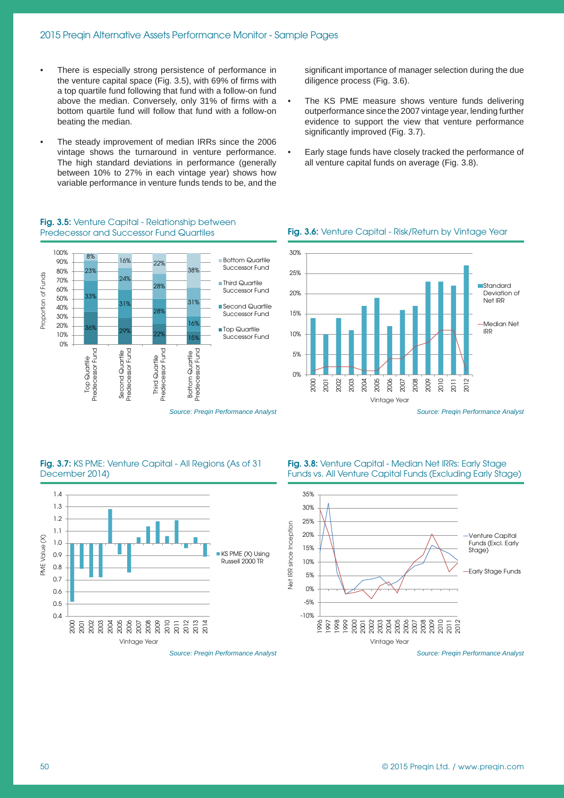- There is especially strong persistence of performance in the venture capital space (Fig. 3.5), with 69% of firms with a top quartile fund following that fund with a follow-on fund above the median. Conversely, only 31% of firms with a bottom quartile fund will follow that fund with a follow-on beating the median.
- The steady improvement of median IRRs since the 2006 vintage shows the turnaround in venture performance. The high standard deviations in performance (generally between 10% to 27% in each vintage year) shows how variable performance in venture funds tends to be, and the

**Fig. 3.5:** Venture Capital - Relationship between Predecessor and Successor Fund Quartiles

significant importance of manager selection during the due diligence process (Fig. 3.6).

- The KS PME measure shows venture funds delivering outperformance since the 2007 vintage year, lending further evidence to support the view that venture performance significantly improved (Fig. 3.7).
- Early stage funds have closely tracked the performance of all venture capital funds on average (Fig. 3.8).

### **Fig. 3.6:** Venture Capital - Risk/Return by Vintage Year



*Source: Preqin Performance Analyst*



#### **Fig. 3.7:** KS PME: Venture Capital - All Regions (As of 31 December 2014)



**Fig. 3.8:** Venture Capital - Median Net IRRs: Early Stage Funds vs. All Venture Capital Funds (Excluding Early Stage)



*Source: Preqin Performance Analyst*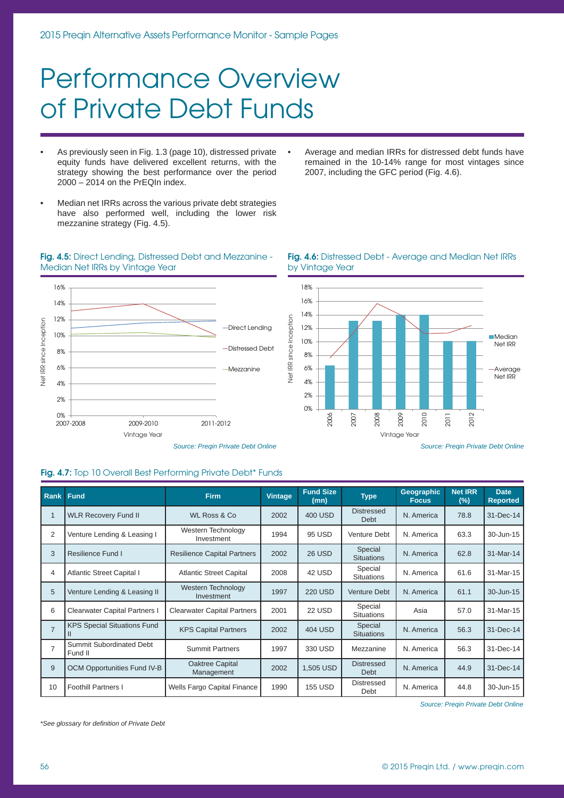## Performance Overview of Private Debt Funds

- As previously seen in Fig. 1.3 (page 10), distressed private equity funds have delivered excellent returns, with the strategy showing the best performance over the period 2000 – 2014 on the PrEQIn index.
- Median net IRRs across the various private debt strategies have also performed well, including the lower risk mezzanine strategy (Fig. 4.5).
- **Fig. 4.5:** Direct Lending, Distressed Debt and Mezzanine Median Net IRRs by Vintage Year



#### • Average and median IRRs for distressed debt funds have remained in the 10-14% range for most vintages since 2007, including the GFC period (Fig. 4.6).



#### **Fig. 4.6:** Distressed Debt - Average and Median Net IRRs by Vintage Year

### **Fig. 4.7:** Top 10 Overall Best Performing Private Debt\* Funds

| <b>Rank Fund</b> |                                            | <b>Firm</b>                             | Vintage | <b>Fund Size</b><br>(mn) | <b>Type</b>                      | <b>Geographic</b><br><b>Focus</b> | <b>Net IRR</b><br>(%) | <b>Date</b><br><b>Reported</b> |
|------------------|--------------------------------------------|-----------------------------------------|---------|--------------------------|----------------------------------|-----------------------------------|-----------------------|--------------------------------|
| 1                | <b>WLR Recovery Fund II</b>                | <b>WL Ross &amp; Co</b>                 | 2002    | 400 USD                  | <b>Distressed</b><br><b>Debt</b> | N. America                        | 78.8                  | 31-Dec-14                      |
| 2                | Venture Lending & Leasing I                | Western Technology<br>Investment        | 1994    | 95 USD                   | <b>Venture Debt</b>              | N. America                        | 63.3                  | 30-Jun-15                      |
| 3                | Resilience Fund I                          | <b>Resilience Capital Partners</b>      | 2002    | 26 USD                   | Special<br><b>Situations</b>     | N. America                        | 62.8                  | 31-Mar-14                      |
| 4                | <b>Atlantic Street Capital I</b>           | <b>Atlantic Street Capital</b>          | 2008    | 42 USD                   | Special<br><b>Situations</b>     | N. America                        | 61.6                  | 31-Mar-15                      |
| 5                | Venture Lending & Leasing II               | <b>Western Technology</b><br>Investment | 1997    | <b>220 USD</b>           | Venture Debt                     | N. America                        | 61.1                  | 30-Jun-15                      |
| 6                | <b>Clearwater Capital Partners I</b>       | <b>Clearwater Capital Partners</b>      | 2001    | 22 USD                   | Special<br><b>Situations</b>     | Asia                              | 57.0                  | 31-Mar-15                      |
| $\overline{7}$   | <b>KPS Special Situations Fund</b>         | <b>KPS Capital Partners</b>             | 2002    | 404 USD                  | Special<br><b>Situations</b>     | N. America                        | 56.3                  | 31-Dec-14                      |
| $\overline{7}$   | <b>Summit Subordinated Debt</b><br>Fund II | <b>Summit Partners</b>                  | 1997    | 330 USD                  | Mezzanine                        | N. America                        | 56.3                  | 31-Dec-14                      |
| 9                | <b>OCM Opportunities Fund IV-B</b>         | Oaktree Capital<br>Management           | 2002    | 1,505 USD                | <b>Distressed</b><br>Debt        | N. America                        | 44.9                  | 31-Dec-14                      |
| 10               | <b>Foothill Partners I</b>                 | Wells Fargo Capital Finance             | 1990    | <b>155 USD</b>           | <b>Distressed</b><br>Debt        | N. America                        | 44.8                  | 30-Jun-15                      |

*Source: Preqin Private Debt Online*

*\*See glossary for defi nition of Private Debt*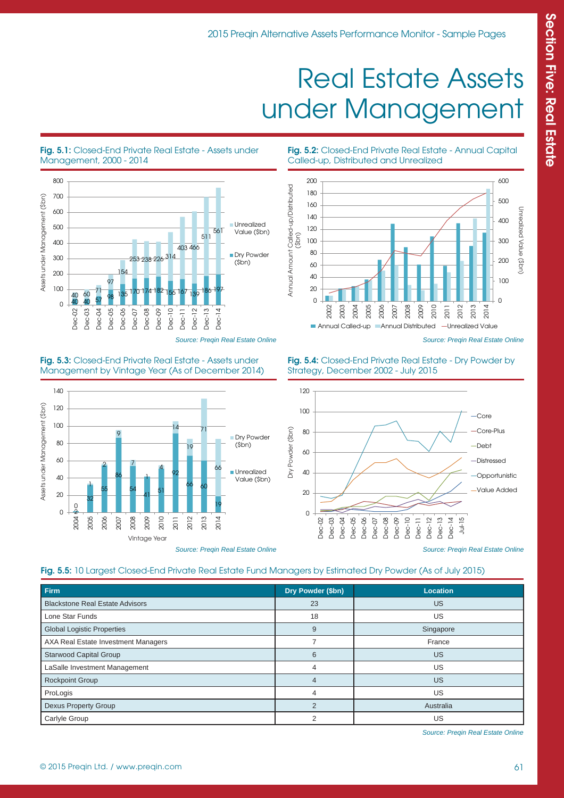## Real Estate Assets under Management

#### **Fig. 5.1:** Closed-End Private Real Estate - Assets under Management, 2000 - 2014



*Source: Preqin Real Estate Online*

#### **Fig. 5.2:** Closed-End Private Real Estate - Annual Capital Called-up, Distributed and Unrealized



*Source: Preqin Real Estate Online*



Vintage Year

#### **Fig. 5.3:** Closed-End Private Real Estate - Assets under Management by Vintage Year (As of December 2014)

#### 2012 2013 20<br>20

*Source: Preqin Real Estate Online*

**Fig. 5.4:** Closed-End Private Real Estate - Dry Powder by Strategy, December 2002 - July 2015



*Source: Preqin Real Estate Online*

### **Fig. 5.5:** 10 Largest Closed-End Private Real Estate Fund Managers by Estimated Dry Powder (As of July 2015)

| Firm                                   | Dry Powder (\$bn) | <b>Location</b> |
|----------------------------------------|-------------------|-----------------|
| <b>Blackstone Real Estate Advisors</b> | 23                | <b>US</b>       |
|                                        |                   |                 |
| Lone Star Funds                        | 18                | US              |
| <b>Global Logistic Properties</b>      | 9                 | Singapore       |
| AXA Real Estate Investment Managers    |                   | France          |
| <b>Starwood Capital Group</b>          | 6                 | <b>US</b>       |
| LaSalle Investment Management          | 4                 | US              |
| <b>Rockpoint Group</b>                 | 4                 | <b>US</b>       |
| ProLogis                               | 4                 | US              |
| Dexus Property Group                   | $\overline{2}$    | Australia       |
| Carlyle Group                          | 2                 | US              |

Source: Preqin Real Estate Online

2004 2005 2006 2007 2008 2009 2010  $\overline{R}$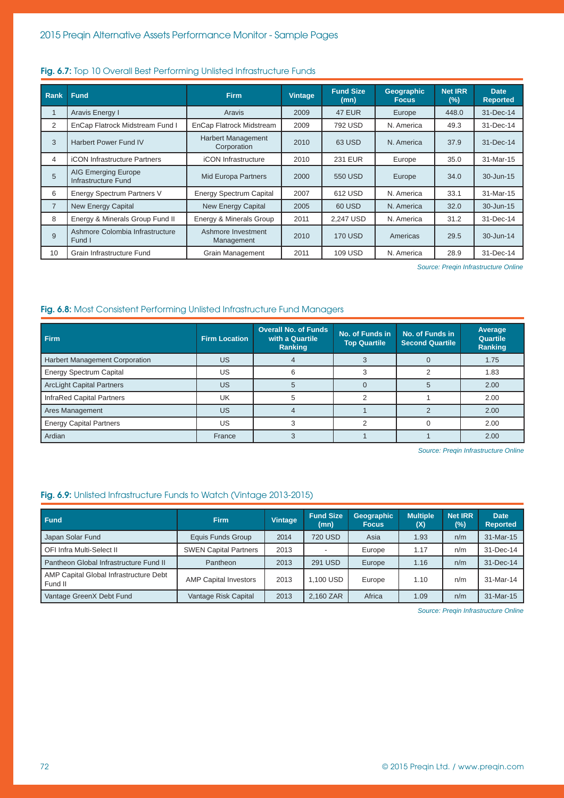| Rank           | <b>Fund</b>                                       | <b>Firm</b>                                             | <b>Vintage</b>                   | <b>Fund Size</b><br>(mn) | Geographic<br><b>Focus</b> | <b>Net IRR</b><br>(%) | <b>Date</b><br><b>Reported</b> |
|----------------|---------------------------------------------------|---------------------------------------------------------|----------------------------------|--------------------------|----------------------------|-----------------------|--------------------------------|
|                | Aravis Energy I                                   | Aravis                                                  | 2009                             | <b>47 EUR</b>            | Europe                     | 448.0                 | 31-Dec-14                      |
| 2              | EnCap Flatrock Midstream Fund I                   | EnCap Flatrock Midstream                                | 2009                             | 792 USD                  | N. America                 | 49.3                  | 31-Dec-14                      |
| 3              | <b>Harbert Power Fund IV</b>                      | Harbert Management<br>Corporation                       | 2010                             | 63 USD                   | N. America                 | 37.9                  | 31-Dec-14                      |
| $\overline{4}$ | <b>iCON Infrastructure Partners</b>               | iCON Infrastructure                                     | <b>231 EUR</b><br>2010<br>Europe |                          | 35.0                       | 31-Mar-15             |                                |
| 5              | <b>AIG Emerging Europe</b><br>Infrastructure Fund | <b>Mid Europa Partners</b><br>2000<br>550 USD<br>Europe |                                  | 34.0                     | 30-Jun-15                  |                       |                                |
| 6              | <b>Energy Spectrum Partners V</b>                 | <b>Energy Spectrum Capital</b>                          | 2007                             | 612 USD                  | N. America                 | 33.1                  | 31-Mar-15                      |
| $\overline{7}$ | <b>New Energy Capital</b>                         | <b>New Energy Capital</b>                               | 2005                             | 60 USD                   | N. America                 | 32.0                  | 30-Jun-15                      |
| 8              | Energy & Minerals Group Fund II                   | Energy & Minerals Group                                 | 2011                             | 2,247 USD                | N. America                 | 31.2                  | 31-Dec-14                      |
| $\mathbf{q}$   | Ashmore Colombia Infrastructure<br>Fund I         | Ashmore Investment<br>Management                        | 2010                             | <b>170 USD</b>           | Americas                   | 29.5                  | 30-Jun-14                      |
| 10             | Grain Infrastructure Fund                         | Grain Management                                        | 2011                             | 109 USD                  | N. America                 | 28.9                  | 31-Dec-14                      |

#### Fig. 6.7: Top 10 Overall Best Performing Unlisted Infrastructure Funds

*Source: Preqin Infrastructure Online*

#### Fig. 6.8: Most Consistent Performing Unlisted Infrastructure Fund Managers

| Firm                                  | <b>Firm Location</b> | <b>Overall No. of Funds</b><br>with a Quartile<br>Ranking | No. of Funds in<br><b>Top Quartile</b> | No. of Funds in<br><b>Second Quartile</b> | Average<br>Quartile<br><b>Ranking</b> |
|---------------------------------------|----------------------|-----------------------------------------------------------|----------------------------------------|-------------------------------------------|---------------------------------------|
| <b>Harbert Management Corporation</b> | US                   |                                                           |                                        |                                           | 1.75                                  |
| <b>Energy Spectrum Capital</b>        | US                   |                                                           |                                        |                                           | 1.83                                  |
| <b>ArcLight Capital Partners</b>      | US                   |                                                           |                                        |                                           | 2.00                                  |
| <b>InfraRed Capital Partners</b>      | UK                   |                                                           |                                        |                                           | 2.00                                  |
| Ares Management                       | US                   |                                                           |                                        |                                           | 2.00                                  |
| <b>Energy Capital Partners</b>        | US                   |                                                           |                                        |                                           | 2.00                                  |
| Ardian                                | France               |                                                           |                                        |                                           | 2.00                                  |

*Source: Preqin Infrastructure Online*

#### **Fig. 6.9:** Unlisted Infrastructure Funds to Watch (Vintage 2013-2015)

| <b>Fund</b>                                       | <b>Firm</b>                  | <b>Vintage</b> | <b>Fund Size</b><br>(mn) | <b>Geographic</b><br><b>Focus</b> | <b>Multiple</b><br>(X) | <b>Net IRR</b><br>(%) | <b>Date</b><br><b>Reported</b> |
|---------------------------------------------------|------------------------------|----------------|--------------------------|-----------------------------------|------------------------|-----------------------|--------------------------------|
| Japan Solar Fund                                  | Equis Funds Group            | 2014           | 720 USD                  | Asia                              | 1.93                   | n/m                   | 31-Mar-15                      |
| OFI Infra Multi-Select II                         | <b>SWEN Capital Partners</b> | 2013           |                          | Europe                            | 1.17                   | n/m                   | 31-Dec-14                      |
| Pantheon Global Infrastructure Fund II            | <b>Pantheon</b>              | 2013           | 291 USD                  | Europe                            | 1.16                   | n/m                   | 31-Dec-14                      |
| AMP Capital Global Infrastructure Debt<br>Fund II | <b>AMP Capital Investors</b> | 2013           | 1.100 USD                | Europe                            | 1.10                   | n/m                   | 31-Mar-14                      |
| Vantage GreenX Debt Fund                          | Vantage Risk Capital         | 2013           | 2.160 ZAR                | Africa                            | 1.09                   | n/m                   | 31-Mar-15                      |

*Source: Preqin Infrastructure Online*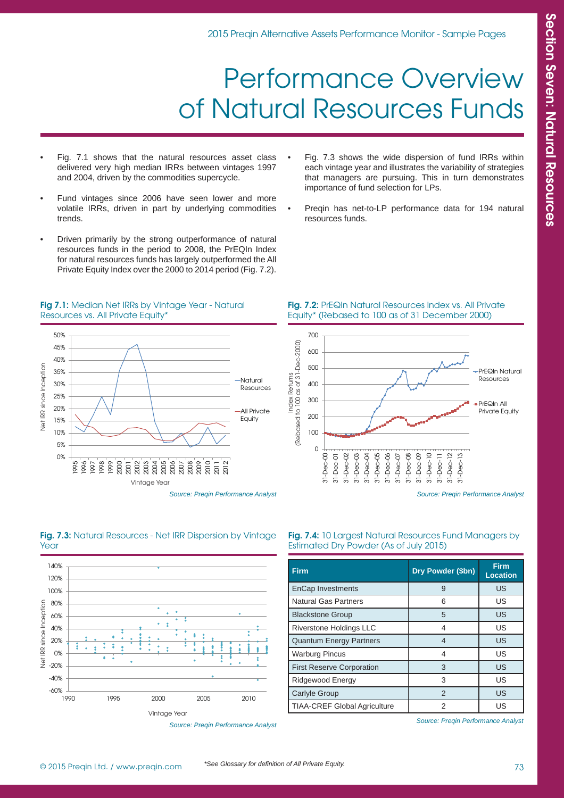## Performance Overview of Natural Resources Funds

- Fig. 7.1 shows that the natural resources asset class delivered very high median IRRs between vintages 1997 and 2004, driven by the commodities supercycle.
- Fund vintages since 2006 have seen lower and more volatile IRRs, driven in part by underlying commodities trends.
- Driven primarily by the strong outperformance of natural resources funds in the period to 2008, the PrEQIn Index for natural resources funds has largely outperformed the All Private Equity Index over the 2000 to 2014 period (Fig. 7.2).
- Fig. 7.3 shows the wide dispersion of fund IRRs within each vintage year and illustrates the variability of strategies that managers are pursuing. This in turn demonstrates importance of fund selection for LPs.
- Preqin has net-to-LP performance data for 194 natural resources funds.

#### **Fig 7.1:** Median Net IRRs by Vintage Year - Natural Resources vs. All Private Equity\*



Equity\* (Rebased to 100 as of 31 December 2000)

**Fig. 7.2:** PrEQIn Natural Resources Index vs. All Private



*Source: Preqin Performance Analyst*





**Fig. 7.4:** 10 Largest Natural Resources Fund Managers by

| <b>Firm</b>                         | Dry Powder (\$bn) | <b>Firm</b><br><b>Location</b> |
|-------------------------------------|-------------------|--------------------------------|
| <b>EnCap Investments</b>            | 9                 | US                             |
| <b>Natural Gas Partners</b>         | 6                 | US                             |
| <b>Blackstone Group</b>             | 5                 | US                             |
| <b>Riverstone Holdings LLC</b>      | 4                 | US                             |
| <b>Quantum Energy Partners</b>      | 4                 | US                             |
| <b>Warburg Pincus</b>               | 4                 | US                             |
| <b>First Reserve Corporation</b>    | 3                 | US                             |
| Ridgewood Energy                    | 3                 | US                             |
| <b>Carlyle Group</b>                | $\mathcal{P}$     | US                             |
| <b>TIAA-CREF Global Agriculture</b> |                   | US                             |

*Source: Preqin Performance Analyst*

Estimated Dry Powder (As of July 2015)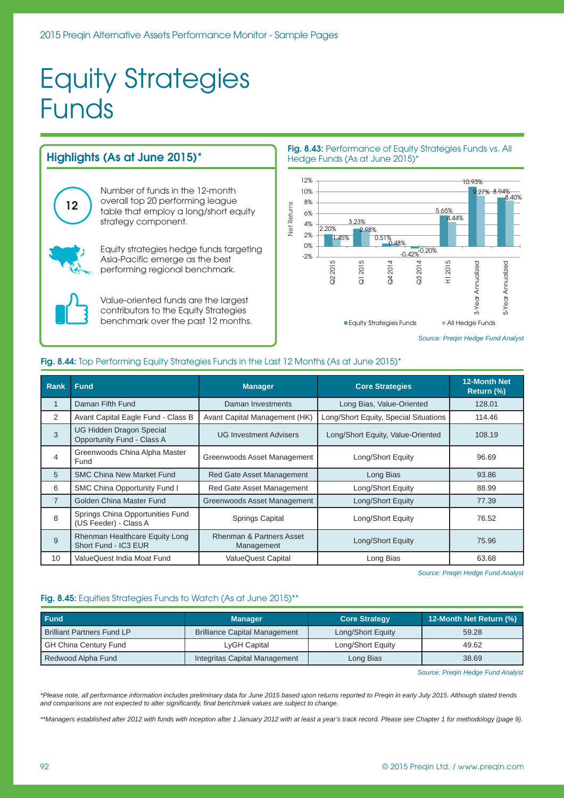## Equity Strategies Funds

#### **Highlights (As at June 2015)\*** 12% Number of funds in the 12-month 10% overall top 20 performing league 8% **12 Vet Returns** Net Returns table that employ a long/short equity 6% strategy component. 4% 2.20% 2% 1.45% 0% Equity strategies hedge funds targeting -2% Asia-Pacific emerge as the best Q2 2015 performing regional benchmark. Value-oriented funds are the largest contributors to the Equity Strategies benchmark over the past 12 months.

#### **Fig. 8.43:** Performance of Equity Strategies Funds vs. All Hedge Funds (As at June 2015)\*



*Source: Preqin Hedge Fund Analyst*

### **Fig. 8.44:** Top Performing Equity Strategies Funds in the Last 12 Months (As at June 2015)\*

| Rank           | <b>Fund</b>                                                   | <b>Core Strategies</b><br><b>Manager</b>          |                                       | 12-Month Net<br>Return (%) |
|----------------|---------------------------------------------------------------|---------------------------------------------------|---------------------------------------|----------------------------|
| 1              | Daman Fifth Fund                                              | Daman Investments                                 | Long Bias, Value-Oriented             | 128.01                     |
| 2              | Avant Capital Eagle Fund - Class B                            | Avant Capital Management (HK)                     | Long/Short Equity, Special Situations | 114.46                     |
| 3              | <b>UG Hidden Dragon Special</b><br>Opportunity Fund - Class A | <b>UG Investment Advisers</b>                     | Long/Short Equity, Value-Oriented     |                            |
| 4              | Greenwoods China Alpha Master<br>Fund                         | Greenwoods Asset Management<br>Long/Short Equity  |                                       | 96.69                      |
| 5              | <b>SMC China New Market Fund</b>                              | <b>Red Gate Asset Management</b><br>Long Bias     |                                       | 93.86                      |
| 6              | SMC China Opportunity Fund I                                  | Red Gate Asset Management                         | Long/Short Equity                     | 88.99                      |
| $\overline{7}$ | Golden China Master Fund                                      | Greenwoods Asset Management                       | Long/Short Equity                     | 77.39                      |
| 8              | Springs China Opportunities Fund<br>(US Feeder) - Class A     | Springs Capital                                   | Long/Short Equity                     | 76.52                      |
| 9              | Rhenman Healthcare Equity Long<br>Short Fund - IC3 EUR        | <b>Rhenman &amp; Partners Asset</b><br>Management | Long/Short Equity                     |                            |
| 10             | ValueQuest India Moat Fund                                    | <b>ValueQuest Capital</b>                         | Long Bias                             | 63.68                      |

*Source: Preqin Hedge Fund Analyst*

### **Fig. 8.45:** Equities Strategies Funds to Watch (As at June 2015)<sup>\*\*</sup>

| <b>Fund</b>                                  | <b>Manager</b>                       | <b>Core Strategy</b> | 12-Month Net Return (%) |  |
|----------------------------------------------|--------------------------------------|----------------------|-------------------------|--|
| <b>Brilliant Partners Fund LP</b>            | <b>Brilliance Capital Management</b> | Long/Short Equity    | 59.28                   |  |
| <b>GH China Century Fund</b><br>LyGH Capital |                                      | Long/Short Equity    | 49.62                   |  |
| Redwood Alpha Fund                           | <b>Integritas Capital Management</b> | Long Bias            | 38.69                   |  |

*Source: Preqin Hedge Fund Analyst*

*\*Please note, all performance information includes preliminary data for June 2015 based upon returns reported to Preqin in early July 2015. Although stated trends and comparisons are not expected to alter signifi cantly, fi nal benchmark values are subject to change.*

*\*\*Managers established after 2012 with funds with inception after 1 January 2012 with at least a year's track record. Please see Chapter 1 for methodology (page 9).*